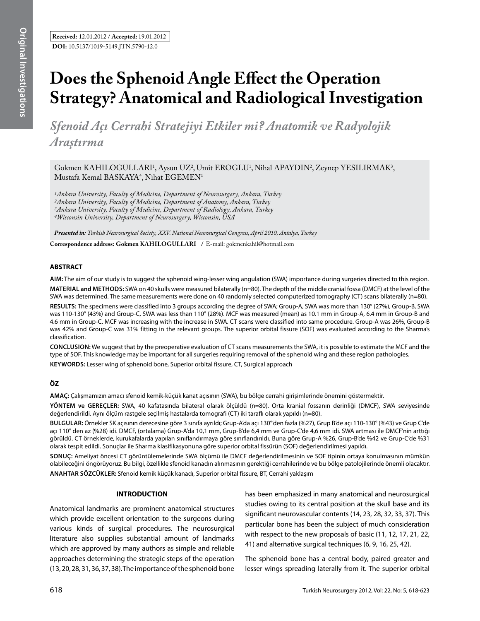# **Does the Sphenoid Angle Effect the Operation Strategy? Anatomical and Radiological Investigation**

*Sfenoid Açı Cerrahi Stratejiyi Etkiler mi? Anatomik ve Radyolojik Araştırma* 

Gokmen KAHILOGULLARI<sup>1</sup>, Aysun UZ<sup>2</sup>, Umit EROGLU<sup>1</sup>, Nihal APAYDIN<sup>2</sup>, Zeynep YESILIRMAK<sup>3</sup>,  $M$ ustafa Kemal BASKAYA<sup>4</sup>, Nihat EGEMEN<sup>1</sup>

*1Ankara University, Faculty of Medicine, Department of Neurosurgery, Ankara, Turkey 2Ankara University, Faculty of Medicine, Department of Anatomy, Ankara, Turkey 3Ankara University, Faculty of Medicine, Department of Radiology, Ankara, Turkey 4Wisconsin University, Department of Neurosurgery, Wisconsin, USA*

*Presented in: Turkish Neurosurgical Society, XXV. National Neurosurgical Congress, April 2010, Antalya, Turkey*

**Correspondence address: Gokmen Kahılogulları /** E-mail: gokmenkahil@hotmail.com

## **ABSTRACT**

**AIm:** The aim of our study is to suggest the sphenoid wing-lesser wing angulation (SWA) importance during surgeries directed to this region. **MaterIal and Methods:** SWA on 40 skulls were measured bilaterally (n=80). The depth of the middle cranial fossa (DMCF) at the level of the SWA was determined. The same measurements were done on 40 randomly selected computerized tomography (CT) scans bilaterally (n=80).

**Results:** The specimens were classified into 3 groups according the degree of SWA; Group-A, SWA was more than 130° (27%), Group-B, SWA was 110-130° (43%) and Group-C, SWA was less than 110° (28%). MCF was measured (mean) as 10.1 mm in Group-A, 6.4 mm in Group-B and 4.6 mm in Group-C. MCF was increasing with the increase in SWA. CT scans were classified into same procedure. Group-A was 26%, Group-B was 42% and Group-C was 31% fitting in the relevant groups. The superior orbital fissure (SOF) was evaluated according to the Sharma's classification.

**ConclusIon:** We suggest that by the preoperative evaluation of CT scans measurements the SWA, it is possible to estimate the MCF and the type of SOF. This knowledge may be important for all surgeries requiring removal of the sphenoid wing and these region pathologies.

**Keywords:** Lesser wing of sphenoid bone, Superior orbital fissure, CT, Surgical approach

## **ÖZ**

**AMAÇ:** Çalışmamızın amacı sfenoid kemik-küçük kanat açısının (SWA), bu bölge cerrahi girişimlerinde önemini göstermektir.

**YÖNTEM ve GEREÇLER:** SWA, 40 kafatasında bilateral olarak ölçüldü (n=80). Orta kranial fossanın derinliği (DMCF), SWA seviyesinde değerlendirildi. Aynı ölçüm rastgele seçilmiş hastalarda tomografi (CT) iki taraflı olarak yapıldı (n=80).

**BULGULAR:** Örnekler SK açısının derecesine göre 3 sınıfa ayrıldı; Grup-A'da açı 130°'den fazla (%27), Grup B'de açı 110-130° (%43) ve Grup C'de açı 110° den az (%28) idi. DMCF, (ortalama) Grup-A'da 10,1 mm, Grup-B'de 6,4 mm ve Grup-C'de 4,6 mm idi. SWA artması ile DMCF'nin arttığı görüldü. CT örneklerde, kurukafalarda yapılan sınıflandırmaya göre sınıflandırıldı. Buna göre Grup-A %26, Grup-B'de %42 ve Grup-C'de %31 olarak tespit edildi. Sonuçlar ile Sharma klasifikasyonuna göre superior orbital fissürün (SOF) değerlendirilmesi yapıldı.

**SONUÇ:** Ameliyat öncesi CT görüntülemelerinde SWA ölçümü ile DMCF değerlendirilmesinin ve SOF tipinin ortaya konulmasının mümkün olabileceğini öngörüyoruz. Bu bilgi, özellikle sfenoid kanadın alınmasının gerektiği cerrahilerinde ve bu bölge patolojilerinde önemli olacaktır. **ANAHTAR SÖZCÜKLER:** Sfenoid kemik küçük kanadı, Superior orbital fissure, BT, Cerrahi yaklaşım

#### **INTRODUCTION**

Anatomical landmarks are prominent anatomical structures which provide excellent orientation to the surgeons during various kinds of surgical procedures. The neurosurgical literature also supplies substantial amount of landmarks which are approved by many authors as simple and reliable approaches determining the strategic steps of the operation (13, 20, 28, 31, 36, 37, 38).The importance of the sphenoid bone has been emphasized in many anatomical and neurosurgical studies owing to its central position at the skull base and its significant neurovascular contents (14, 23, 28, 32, 33, 37). This particular bone has been the subject of much consideration with respect to the new proposals of basic (11, 12, 17, 21, 22, 41) and alternative surgical techniques (6, 9, 16, 25, 42).

The sphenoid bone has a central body, paired greater and lesser wings spreading laterally from it. The superior orbital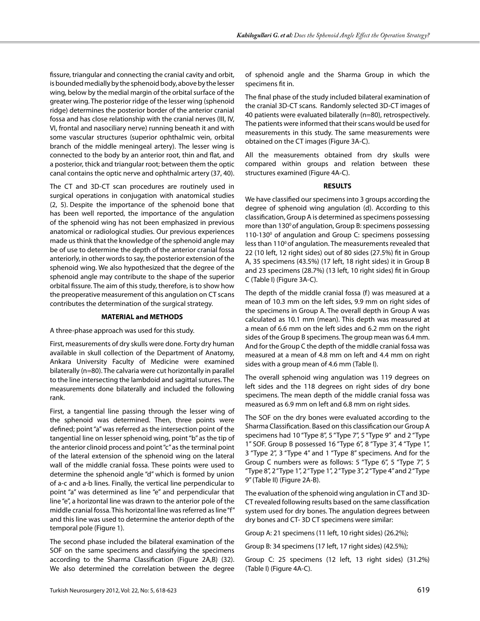fissure, triangular and connecting the cranial cavity and orbit, is bounded medially by the sphenoid body, above by the lesser wing, below by the medial margin of the orbital surface of the greater wing. The posterior ridge of the lesser wing (sphenoid ridge) determines the posterior border of the anterior cranial fossa and has close relationship with the cranial nerves (III, IV, VI, frontal and nasociliary nerve) running beneath it and with some vascular structures (superior ophthalmic vein, orbital branch of the middle meningeal artery). The lesser wing is connected to the body by an anterior root, thin and flat, and a posterior, thick and triangular root; between them the optic canal contains the optic nerve and ophthalmic artery (37, 40).

The CT and 3D-CT scan procedures are routinely used in surgical operations in conjugation with anatomical studies (2, 5). Despite the importance of the sphenoid bone that has been well reported, the importance of the angulation of the sphenoid wing has not been emphasized in previous anatomical or radiological studies. Our previous experiences made us think that the knowledge of the sphenoid angle may be of use to determine the depth of the anterior cranial fossa anteriorly, in other words to say, the posterior extension of the sphenoid wing. We also hypothesized that the degree of the sphenoid angle may contribute to the shape of the superior orbital fissure. The aim of this study, therefore, is to show how the preoperative measurement of this angulation on CT scans contributes the determination of the surgical strategy.

## **MATERIAL and METHODS**

#### A three-phase approach was used for this study.

First, measurements of dry skulls were done. Forty dry human available in skull collection of the Department of Anatomy, Ankara University Faculty of Medicine were examined bilaterally (n=80). The calvaria were cut horizontally in parallel to the line intersecting the lambdoid and sagittal sutures. The measurements done bilaterally and included the following rank.

First, a tangential line passing through the lesser wing of the sphenoid was determined. Then, three points were defined; point "a" was referred as the intersection point of the tangential line on lesser sphenoid wing, point "b" as the tip of the anterior clinoid process and point "c" as the terminal point of the lateral extension of the sphenoid wing on the lateral wall of the middle cranial fossa. These points were used to determine the sphenoid angle "d" which is formed by union of a-c and a-b lines. Finally, the vertical line perpendicular to point "a" was determined as line "e" and perpendicular that line "e", a horizontal line was drawn to the anterior pole of the middle cranial fossa. This horizontal line was referred as line "f" and this line was used to determine the anterior depth of the temporal pole (Figure 1).

The second phase included the bilateral examination of the SOF on the same specimens and classifying the specimens according to the Sharma Classification (Figure 2A,B) (32). We also determined the correlation between the degree of sphenoid angle and the Sharma Group in which the specimens fit in.

The final phase of the study included bilateral examination of the cranial 3D-CT scans. Randomly selected 3D-CT images of 40 patients were evaluated bilaterally (n=80), retrospectively. The patients were informed that their scans would be used for measurements in this study. The same measurements were obtained on the CT images (Figure 3A-C).

All the measurements obtained from dry skulls were compared within groups and relation between these structures examined (Figure 4A-C).

#### **RESULTS**

We have classified our specimens into 3 groups according the degree of sphenoid wing angulation (d). According to this classification, Group A is determined as specimens possessing more than  $130^{\circ}$  of angulation, Group B: specimens possessing 110-130<sup>°</sup> of angulation and Group C: specimens possessing less than 110° of angulation. The measurements revealed that 22 (10 left, 12 right sides) out of 80 sides (27.5%) fit in Group A, 35 specimens (43.5%) (17 left, 18 right sides) it in Group B and 23 specimens (28.7%) (13 left, 10 right sides) fit in Group C (Table I) (Figure 3A-C).

The depth of the middle cranial fossa (f) was measured at a mean of 10.3 mm on the left sides, 9.9 mm on right sides of the specimens in Group A. The overall depth in Group A was calculated as 10.1 mm (mean). This depth was measured at a mean of 6.6 mm on the left sides and 6.2 mm on the right sides of the Group B specimens. The group mean was 6.4 mm. And for the Group C the depth of the middle cranial fossa was measured at a mean of 4.8 mm on left and 4.4 mm on right sides with a group mean of 4.6 mm (Table I).

The overall sphenoid wing angulation was 119 degrees on left sides and the 118 degrees on right sides of dry bone specimens. The mean depth of the middle cranial fossa was measured as 6.9 mm on left and 6.8 mm on right sides.

The SOF on the dry bones were evaluated according to the Sharma Classification. Based on this classification our Group A specimens had 10 "Type 8", 5 "Type 7", 5 "Type 9" and 2 "Type 1" SOF. Group B possessed 16 "Type 6", 8 "Type 3", 4 "Type 1", 3 "Type 2", 3 "Type 4" and 1 "Type 8" specimens. And for the Group C numbers were as follows: 5 "Type 6", 5 "Type 7", 5 "Type 8", 2 "Type 1", 2 "Type 1", 2 "Type 3", 2 "Type 4" and 2 "Type 9" (Table II) (Figure 2A-B).

The evaluation of the sphenoid wing angulation in CT and 3D-CT revealed following results based on the same classification system used for dry bones. The angulation degrees between dry bones and CT- 3D CT specimens were similar:

Group A: 21 specimens (11 left, 10 right sides) (26.2%);

Group B: 34 specimens (17 left, 17 right sides) (42.5%);

Group C: 25 specimens (12 left, 13 right sides) (31.2%) (Table I) (Figure 4A-C).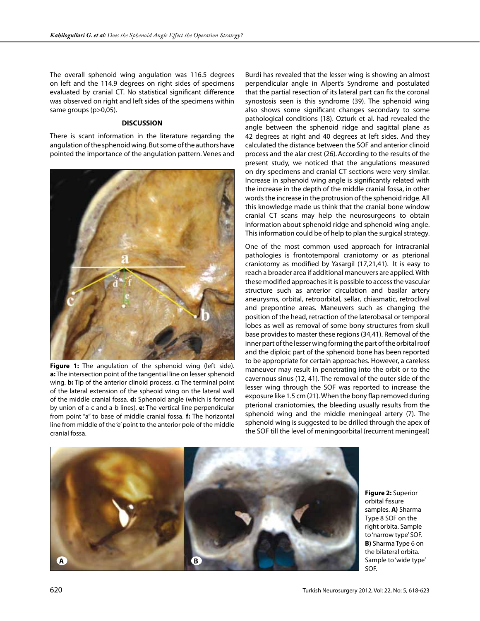The overall sphenoid wing angulation was 116.5 degrees on left and the 114.9 degrees on right sides of specimens evaluated by cranial CT. No statistical significant difference was observed on right and left sides of the specimens within same groups (p>0,05).

#### **DISCUSSION**

There is scant information in the literature regarding the angulation of the sphenoid wing. But some of the authors have pointed the importance of the angulation pattern. Venes and



Figure 1: The angulation of the sphenoid wing (left side). **a:** The intersection point of the tangential line on lesser sphenoid wing. **b:** Tip of the anterior clinoid process. **c:** The terminal point of the lateral extension of the spheoid wing on the lateral wall of the middle cranial fossa. **d:** Sphenoid angle (which is formed by union of a-c and a-b lines). **e:** The vertical line perpendicular from point "a" to base of middle cranial fossa. **f:** The horizontal line from middle of the 'e' point to the anterior pole of the middle cranial fossa.

Burdi has revealed that the lesser wing is showing an almost perpendicular angle in Alpert's Syndrome and postulated that the partial resection of its lateral part can fix the coronal synostosis seen is this syndrome (39). The sphenoid wing also shows some significant changes secondary to some pathological conditions (18). Ozturk et al. had revealed the angle between the sphenoid ridge and sagittal plane as 42 degrees at right and 40 degrees at left sides. And they calculated the distance between the SOF and anterior clinoid process and the alar crest (26).According to the results of the present study, we noticed that the angulations measured on dry specimens and cranial CT sections were very similar. Increase in sphenoid wing angle is significantly related with the increase in the depth of the middle cranial fossa, in other words the increase in the protrusion of the sphenoid ridge. All this knowledge made us think that the cranial bone window cranial CT scans may help the neurosurgeons to obtain information about sphenoid ridge and sphenoid wing angle. This information could be of help to plan the surgical strategy.

One of the most common used approach for intracranial pathologies is frontotemporal craniotomy or as pterional craniotomy as modified by Yasargil (17,21,41). It is easy to reach a broader area if additional maneuvers are applied. With these modified approaches it is possible to access the vascular structure such as anterior circulation and basilar artery aneurysms, orbital, retroorbital, sellar, chiasmatic, retroclival and prepontine areas. Maneuvers such as changing the position of the head, retraction of the laterobasal or temporal lobes as well as removal of some bony structures from skull base provides to master these regions (34,41). Removal of the inner part of the lesser wing forming the part of the orbital roof and the diploic part of the sphenoid bone has been reported to be appropriate for certain approaches. However, a careless maneuver may result in penetrating into the orbit or to the cavernous sinus (12, 41). The removal of the outer side of the lesser wing through the SOF was reported to increase the exposure like 1.5 cm (21). When the bony flap removed during pterional craniotomies, the bleeding usually results from the sphenoid wing and the middle meningeal artery (7). The sphenoid wing is suggested to be drilled through the apex of the SOF till the level of meningoorbital (recurrent meningeal)



**Figure 2:** Superior orbital fissure samples. **A)** Sharma Type 8 SOF on the right orbita. Sample to 'narrow type' SOF. **B)** Sharma Type 6 on the bilateral orbita. Sample to 'wide type' SOF.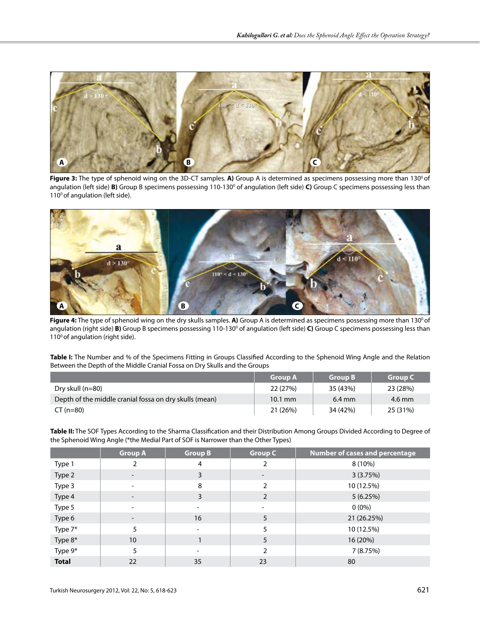

Figure 3: The type of sphenoid wing on the 3D-CT samples. A) Group A is determined as specimens possessing more than 130<sup>o</sup> of angulation (left side) **B)** Group B specimens possessing 110-130° of angulation (left side) **C**) Group C specimens possessing less than 110<sup>°</sup> of angulation (left side).



Figure 4: The type of sphenoid wing on the dry skulls samples. A) Group A is determined as specimens possessing more than 130<sup>o</sup> of angulation (right side) B) Group B specimens possessing 110-130<sup>°</sup> of angulation (left side) C) Group C specimens possessing less than 110<sup>°</sup> of angulation (right side).

**Table I:** The Number and % of the Specimens Fitting in Groups Classified According to the Sphenoid Wing Angle and the Relation Between the Depth of the Middle Cranial Fossa on Dry Skulls and the Groups

|                                                        | <b>Group A</b>    | <b>Group B</b>   | <b>Group C</b> |
|--------------------------------------------------------|-------------------|------------------|----------------|
| Dry skull $(n=80)$                                     | 22 (27%)          | 35 (43%)         | 23 (28%)       |
| Depth of the middle cranial fossa on dry skulls (mean) | $10.1 \text{ mm}$ | $6.4 \text{ mm}$ | 4.6 mm         |
| $CT (n=80)$                                            | 21 (26%)          | 34 (42%)         | 25 (31%)       |

**Table II:** The SOF Types According to the Sharma Classification and their Distribution Among Groups Divided According to Degree of the Sphenoid Wing Angle (\*the Medial Part of SOF is Narrower than the Other Types)

|              | <b>Group A</b>           | <b>Group B</b>           | <b>Group C</b> | Number of cases and percentage |
|--------------|--------------------------|--------------------------|----------------|--------------------------------|
| Type 1       | 2                        | 4                        | 2              | 8 (10%)                        |
| Type 2       | $\overline{\phantom{0}}$ | 3                        | ۰.             | 3(3.75%)                       |
| Type 3       | ۰                        | 8                        | $\overline{2}$ | 10 (12.5%)                     |
| Type 4       | $\overline{\phantom{0}}$ | 3                        | $\overline{2}$ | 5(6.25%)                       |
| Type 5       | ۰                        | -                        |                | $0(0\%)$                       |
| Type 6       |                          | 16                       | 5              | 21 (26.25%)                    |
| Type 7*      | 5                        |                          | 5              | 10 (12.5%)                     |
| Type 8*      | 10                       |                          | 5              | 16 (20%)                       |
| Type 9*      | 5                        | $\overline{\phantom{0}}$ | $\mathfrak{D}$ | 7 (8.75%)                      |
| <b>Total</b> | 22                       | 35                       | 23             | 80                             |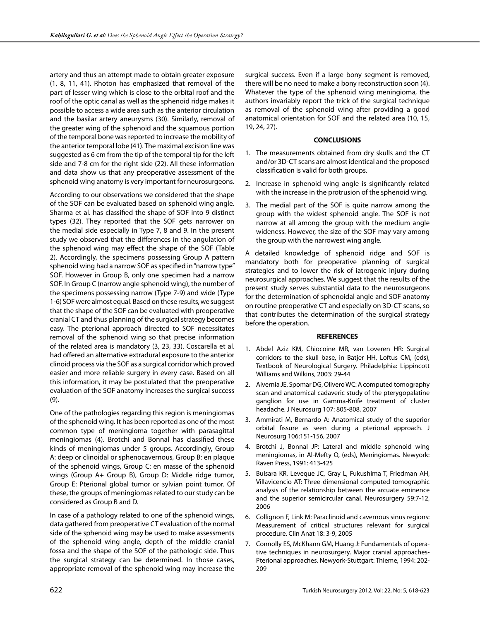artery and thus an attempt made to obtain greater exposure (1, 8, 11, 41). Rhoton has emphasized that removal of the part of lesser wing which is close to the orbital roof and the roof of the optic canal as well as the sphenoid ridge makes it possible to access a wide area such as the anterior circulation and the basilar artery aneurysms (30). Similarly, removal of the greater wing of the sphenoid and the squamous portion of the temporal bone was reported to increase the mobility of the anterior temporal lobe (41). The maximal excision line was suggested as 6 cm from the tip of the temporal tip for the left side and 7-8 cm for the right side (22). All these information and data show us that any preoperative assessment of the sphenoid wing anatomy is very important for neurosurgeons.

According to our observations we considered that the shape of the SOF can be evaluated based on sphenoid wing angle. Sharma et al. has classified the shape of SOF into 9 distinct types (32). They reported that the SOF gets narrower on the medial side especially in Type 7, 8 and 9. In the present study we observed that the differences in the angulation of the sphenoid wing may effect the shape of the SOF (Table 2). Accordingly, the specimens possessing Group A pattern sphenoid wing had a narrow SOF as specified in "narrow type" SOF. However in Group B, only one specimen had a narrow SOF. In Group C (narrow angle sphenoid wing), the number of the specimens possessing narrow (Type 7-9) and wide (Type 1-6) SOF were almost equal. Based on these results, we suggest that the shape of the SOF can be evaluated with preoperative cranial CT and thus planning of the surgical strategy becomes easy. The pterional approach directed to SOF necessitates removal of the sphenoid wing so that precise information of the related area is mandatory (3, 23, 33). Coscarella et al. had offered an alternative extradural exposure to the anterior clinoid process via the SOF as a surgical corridor which proved easier and more reliable surgery in every case. Based on all this information, it may be postulated that the preoperative evaluation of the SOF anatomy increases the surgical success (9).

One of the pathologies regarding this region is meningiomas of the sphenoid wing. It has been reported as one of the most common type of meningioma together with parasagittal meningiomas (4). Brotchi and Bonnal has classified these kinds of meningiomas under 5 groups. Accordingly, Group A: deep or clinoidal or sphenocavernous, Group B: en plaque of the sphenoid wings, Group C: en masse of the sphenoid wings (Group A+ Group B), Group D: Middle ridge tumor, Group E: Pterional global tumor or sylvian point tumor. Of these, the groups of meningiomas related to our study can be considered as Group B and D.

In case of a pathology related to one of the sphenoid wings, data gathered from preoperative CT evaluation of the normal side of the sphenoid wing may be used to make assessments of the sphenoid wing angle, depth of the middle cranial fossa and the shape of the SOF of the pathologic side. Thus the surgical strategy can be determined. In those cases, appropriate removal of the sphenoid wing may increase the

surgical success. Even if a large bony segment is removed, there will be no need to make a bony reconstruction soon (4). Whatever the type of the sphenoid wing meningioma, the authors invariably report the trick of the surgical technique as removal of the sphenoid wing after providing a good anatomical orientation for SOF and the related area (10, 15, 19, 24, 27).

### **CONCLUSIONS**

- 1. The measurements obtained from dry skulls and the CT and/or 3D-CT scans are almost identical and the proposed classification is valid for both groups.
- 2. Increase in sphenoid wing angle is significantly related with the increase in the protrusion of the sphenoid wing.
- 3. The medial part of the SOF is quite narrow among the group with the widest sphenoid angle. The SOF is not narrow at all among the group with the medium angle wideness. However, the size of the SOF may vary among the group with the narrowest wing angle.

A detailed knowledge of sphenoid ridge and SOF is mandatory both for preoperative planning of surgical strategies and to lower the risk of iatrogenic injury during neurosurgical approaches. We suggest that the results of the present study serves substantial data to the neurosurgeons for the determination of sphenoidal angle and SOF anatomy on routine preoperative CT and especially on 3D-CT scans, so that contributes the determination of the surgical strategy before the operation.

#### **REFERENCES**

- 1. Abdel Aziz KM, Chiocoine MR, van Loveren HR: Surgical corridors to the skull base, in Batjer HH, Loftus CM, (eds), Textbook of Neurological Surgery. Philadelphia: Lippincott Williams and Wilkins, 2003: 29-44
- 2. Alvernia JE, Spomar DG, Olivero WC: A computed tomography scan and anatomical cadaveric study of the pterygopalatine ganglion for use in Gamma-Knife treatment of cluster headache. J Neurosurg 107: 805-808, 2007
- 3. Ammirati M, Bernardo A: Anatomical study of the superior orbital fissure as seen during a pterional approach. J Neurosurg 106:151-156, 2007
- 4. Brotchi J, Bonnal JP: Lateral and middle sphenoid wing meningiomas, in Al-Mefty O, (eds), Meningiomas. Newyork: Raven Press, 1991: 413-425
- 5. Bulsara KR, Leveque JC, Gray L, Fukushima T, Friedman AH, Villavicencio AT: Three-dimensional computed-tomographic analysis of the relationship between the arcuate eminence and the superior semicircular canal. Neurosurgery 59:7-12, 2006
- 6. Collignon F, Link M: Paraclinoid and cavernous sinus regions: Measurement of critical structures relevant for surgical procedure. Clin Anat 18: 3-9, 2005
- 7. Connolly ES, McKhann GM, Huang J: Fundamentals of operative techniques in neurosurgery. Major cranial approaches-Pterional approaches. Newyork-Stuttgart: Thieme, 1994: 202- 209